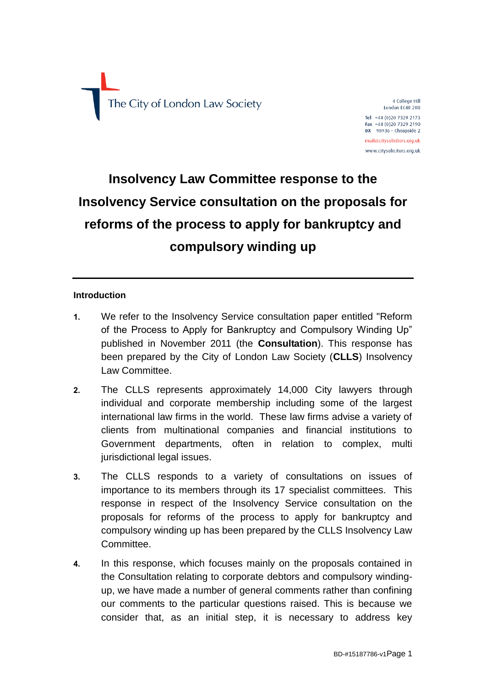

4 College Hill London EC4R 2RB Tel +44 (0)20 7329 2173 Fax +44 (0)20 7329 2190  $DX$  98936 - Cheapside 2 mail@citysolicitors.org.uk www.citysolicitors.org.uk

# **Insolvency Law Committee response to the Insolvency Service consultation on the proposals for reforms of the process to apply for bankruptcy and compulsory winding up**

#### **Introduction**

- **1.** We refer to the Insolvency Service consultation paper entitled "Reform of the Process to Apply for Bankruptcy and Compulsory Winding Up" published in November 2011 (the **Consultation**). This response has been prepared by the City of London Law Society (**CLLS**) Insolvency Law Committee.
- **2.** The CLLS represents approximately 14,000 City lawyers through individual and corporate membership including some of the largest international law firms in the world. These law firms advise a variety of clients from multinational companies and financial institutions to Government departments, often in relation to complex, multi jurisdictional legal issues.
- **3.** The CLLS responds to a variety of consultations on issues of importance to its members through its 17 specialist committees. This response in respect of the Insolvency Service consultation on the proposals for reforms of the process to apply for bankruptcy and compulsory winding up has been prepared by the CLLS Insolvency Law Committee.
- **4.** In this response, which focuses mainly on the proposals contained in the Consultation relating to corporate debtors and compulsory windingup, we have made a number of general comments rather than confining our comments to the particular questions raised. This is because we consider that, as an initial step, it is necessary to address key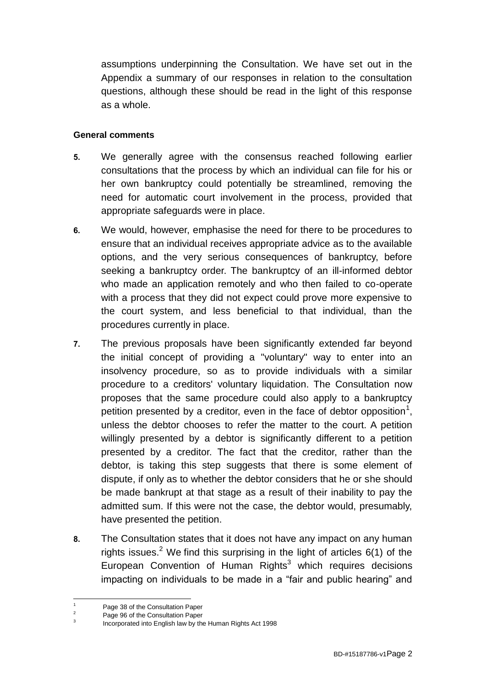assumptions underpinning the Consultation. We have set out in the Appendix a summary of our responses in relation to the consultation questions, although these should be read in the light of this response as a whole.

#### **General comments**

- **5.** We generally agree with the consensus reached following earlier consultations that the process by which an individual can file for his or her own bankruptcy could potentially be streamlined, removing the need for automatic court involvement in the process, provided that appropriate safeguards were in place.
- **6.** We would, however, emphasise the need for there to be procedures to ensure that an individual receives appropriate advice as to the available options, and the very serious consequences of bankruptcy, before seeking a bankruptcy order. The bankruptcy of an ill-informed debtor who made an application remotely and who then failed to co-operate with a process that they did not expect could prove more expensive to the court system, and less beneficial to that individual, than the procedures currently in place.
- **7.** The previous proposals have been significantly extended far beyond the initial concept of providing a "voluntary" way to enter into an insolvency procedure, so as to provide individuals with a similar procedure to a creditors' voluntary liquidation. The Consultation now proposes that the same procedure could also apply to a bankruptcy petition presented by a creditor, even in the face of debtor opposition<sup>1</sup>, unless the debtor chooses to refer the matter to the court. A petition willingly presented by a debtor is significantly different to a petition presented by a creditor. The fact that the creditor, rather than the debtor, is taking this step suggests that there is some element of dispute, if only as to whether the debtor considers that he or she should be made bankrupt at that stage as a result of their inability to pay the admitted sum. If this were not the case, the debtor would, presumably, have presented the petition.
- **8.** The Consultation states that it does not have any impact on any human rights issues.<sup>2</sup> We find this surprising in the light of articles  $6(1)$  of the European Convention of Human Rights<sup>3</sup> which requires decisions impacting on individuals to be made in a "fair and public hearing" and

 $\overline{1}$  $\frac{1}{2}$  Page 38 of the Consultation Paper

Page 96 of the Consultation Paper

<sup>3</sup> Incorporated into English law by the Human Rights Act 1998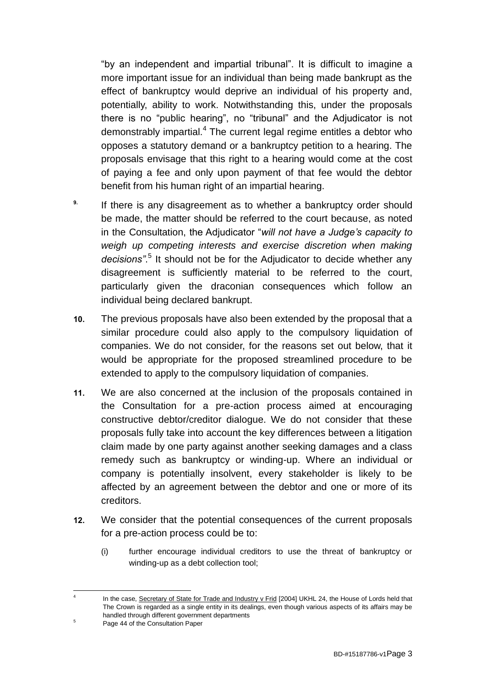"by an independent and impartial tribunal". It is difficult to imagine a more important issue for an individual than being made bankrupt as the effect of bankruptcy would deprive an individual of his property and, potentially, ability to work. Notwithstanding this, under the proposals there is no "public hearing", no "tribunal" and the Adjudicator is not demonstrably impartial.<sup>4</sup> The current legal regime entitles a debtor who opposes a statutory demand or a bankruptcy petition to a hearing. The proposals envisage that this right to a hearing would come at the cost of paying a fee and only upon payment of that fee would the debtor benefit from his human right of an impartial hearing.

- <sup>9.</sup> If there is any disagreement as to whether a bankruptcy order should be made, the matter should be referred to the court because, as noted in the Consultation, the Adjudicator "*will not have a Judge's capacity to weigh up competing interests and exercise discretion when making decisions"*. 5 It should not be for the Adjudicator to decide whether any disagreement is sufficiently material to be referred to the court, particularly given the draconian consequences which follow an individual being declared bankrupt.
- **10.** The previous proposals have also been extended by the proposal that a similar procedure could also apply to the compulsory liquidation of companies. We do not consider, for the reasons set out below, that it would be appropriate for the proposed streamlined procedure to be extended to apply to the compulsory liquidation of companies.
- **11.** We are also concerned at the inclusion of the proposals contained in the Consultation for a pre-action process aimed at encouraging constructive debtor/creditor dialogue. We do not consider that these proposals fully take into account the key differences between a litigation claim made by one party against another seeking damages and a class remedy such as bankruptcy or winding-up. Where an individual or company is potentially insolvent, every stakeholder is likely to be affected by an agreement between the debtor and one or more of its creditors.
- **12.** We consider that the potential consequences of the current proposals for a pre-action process could be to:
	- (i) further encourage individual creditors to use the threat of bankruptcy or winding-up as a debt collection tool;

 $\frac{1}{4}$ 

In the case, Secretary of State for Trade and Industry v Frid [2004] UKHL 24, the House of Lords held that The Crown is regarded as a single entity in its dealings, even though various aspects of its affairs may be handled through different government departments

<sup>&</sup>lt;sup>5</sup> Page 44 of the Consultation Paper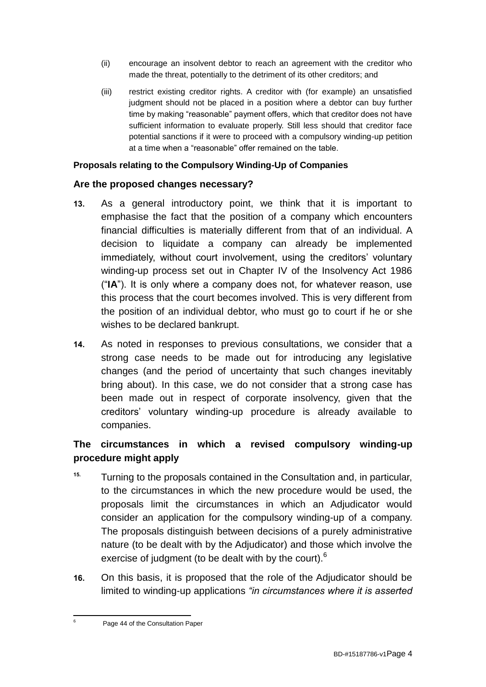- (ii) encourage an insolvent debtor to reach an agreement with the creditor who made the threat, potentially to the detriment of its other creditors; and
- (iii) restrict existing creditor rights. A creditor with (for example) an unsatisfied judgment should not be placed in a position where a debtor can buy further time by making "reasonable" payment offers, which that creditor does not have sufficient information to evaluate properly. Still less should that creditor face potential sanctions if it were to proceed with a compulsory winding-up petition at a time when a "reasonable" offer remained on the table.

## **Proposals relating to the Compulsory Winding-Up of Companies**

## **Are the proposed changes necessary?**

- **13.** As a general introductory point, we think that it is important to emphasise the fact that the position of a company which encounters financial difficulties is materially different from that of an individual. A decision to liquidate a company can already be implemented immediately, without court involvement, using the creditors' voluntary winding-up process set out in Chapter IV of the Insolvency Act 1986 ("**IA**"). It is only where a company does not, for whatever reason, use this process that the court becomes involved. This is very different from the position of an individual debtor, who must go to court if he or she wishes to be declared bankrupt.
- **14.** As noted in responses to previous consultations, we consider that a strong case needs to be made out for introducing any legislative changes (and the period of uncertainty that such changes inevitably bring about). In this case, we do not consider that a strong case has been made out in respect of corporate insolvency, given that the creditors' voluntary winding-up procedure is already available to companies.

# **The circumstances in which a revised compulsory winding-up procedure might apply**

- **15.** Turning to the proposals contained in the Consultation and, in particular, to the circumstances in which the new procedure would be used, the proposals limit the circumstances in which an Adjudicator would consider an application for the compulsory winding-up of a company. The proposals distinguish between decisions of a purely administrative nature (to be dealt with by the Adjudicator) and those which involve the exercise of judgment (to be dealt with by the court).<sup>6</sup>
- **16.** On this basis, it is proposed that the role of the Adjudicator should be limited to winding-up applications *"in circumstances where it is asserted*

<sup>1</sup> Page 44 of the Consultation Paper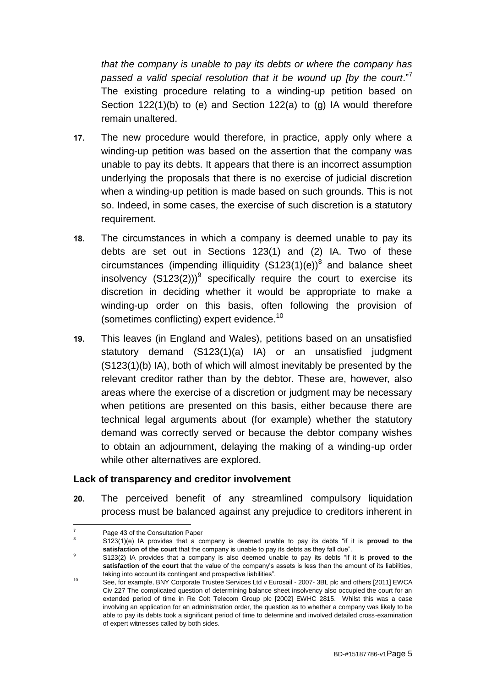*that the company is unable to pay its debts or where the company has passed a valid special resolution that it be wound up [by the court*."<sup>7</sup> The existing procedure relating to a winding-up petition based on Section 122(1)(b) to (e) and Section 122(a) to (g) IA would therefore remain unaltered.

- **17.** The new procedure would therefore, in practice, apply only where a winding-up petition was based on the assertion that the company was unable to pay its debts. It appears that there is an incorrect assumption underlying the proposals that there is no exercise of judicial discretion when a winding-up petition is made based on such grounds. This is not so. Indeed, in some cases, the exercise of such discretion is a statutory requirement.
- **18.** The circumstances in which a company is deemed unable to pay its debts are set out in Sections 123(1) and (2) IA. Two of these circumstances (impending illiquidity  $(S123(1)(e))^8$  and balance sheet insolvency  $(S123(2)))^9$  specifically require the court to exercise its discretion in deciding whether it would be appropriate to make a winding-up order on this basis, often following the provision of (sometimes conflicting) expert evidence.<sup>10</sup>
- **19.** This leaves (in England and Wales), petitions based on an unsatisfied statutory demand (S123(1)(a) IA) or an unsatisfied judgment (S123(1)(b) IA), both of which will almost inevitably be presented by the relevant creditor rather than by the debtor. These are, however, also areas where the exercise of a discretion or judgment may be necessary when petitions are presented on this basis, either because there are technical legal arguments about (for example) whether the statutory demand was correctly served or because the debtor company wishes to obtain an adjournment, delaying the making of a winding-up order while other alternatives are explored.

## **Lack of transparency and creditor involvement**

**20.** The perceived benefit of any streamlined compulsory liquidation process must be balanced against any prejudice to creditors inherent in

<sup>1</sup>  $7 \qquad$  Page 43 of the Consultation Paper

<sup>8</sup> S123(1)(e) IA provides that a company is deemed unable to pay its debts "if it is **proved to the satisfaction of the court** that the company is unable to pay its debts as they fall due".

<sup>9</sup> S123(2) IA provides that a company is also deemed unable to pay its debts "if it is **proved to the satisfaction of the court** that the value of the company's assets is less than the amount of its liabilities, taking into account its contingent and prospective liabilities".

<sup>10</sup> See, for example, BNY Corporate Trustee Services Ltd v Eurosail - 2007- 3BL plc and others [2011] EWCA Civ 227 The complicated question of determining balance sheet insolvency also occupied the court for an extended period of time in Re Colt Telecom Group plc [2002] EWHC 2815. Whilst this was a case involving an application for an administration order, the question as to whether a company was likely to be able to pay its debts took a significant period of time to determine and involved detailed cross-examination of expert witnesses called by both sides.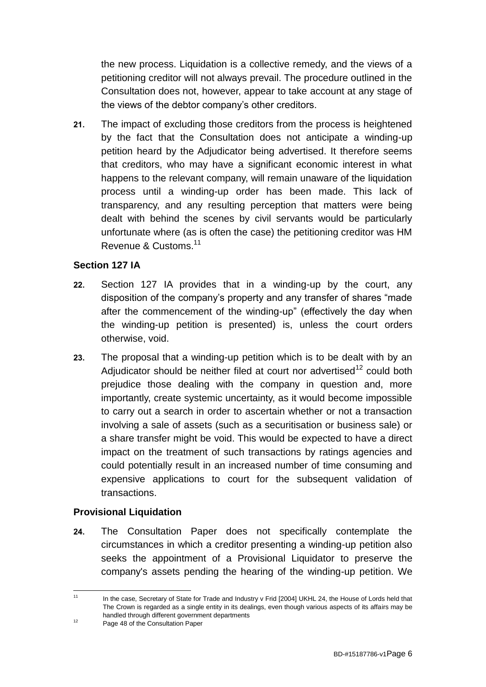the new process. Liquidation is a collective remedy, and the views of a petitioning creditor will not always prevail. The procedure outlined in the Consultation does not, however, appear to take account at any stage of the views of the debtor company's other creditors.

**21.** The impact of excluding those creditors from the process is heightened by the fact that the Consultation does not anticipate a winding-up petition heard by the Adjudicator being advertised. It therefore seems that creditors, who may have a significant economic interest in what happens to the relevant company, will remain unaware of the liquidation process until a winding-up order has been made. This lack of transparency, and any resulting perception that matters were being dealt with behind the scenes by civil servants would be particularly unfortunate where (as is often the case) the petitioning creditor was HM Revenue & Customs.<sup>11</sup>

## **Section 127 IA**

- **22.** Section 127 IA provides that in a winding-up by the court, any disposition of the company's property and any transfer of shares "made after the commencement of the winding-up" (effectively the day when the winding-up petition is presented) is, unless the court orders otherwise, void.
- **23.** The proposal that a winding-up petition which is to be dealt with by an Adjudicator should be neither filed at court nor advertised<sup>12</sup> could both prejudice those dealing with the company in question and, more importantly, create systemic uncertainty, as it would become impossible to carry out a search in order to ascertain whether or not a transaction involving a sale of assets (such as a securitisation or business sale) or a share transfer might be void. This would be expected to have a direct impact on the treatment of such transactions by ratings agencies and could potentially result in an increased number of time consuming and expensive applications to court for the subsequent validation of transactions.

# **Provisional Liquidation**

**24.** The Consultation Paper does not specifically contemplate the circumstances in which a creditor presenting a winding-up petition also seeks the appointment of a Provisional Liquidator to preserve the company's assets pending the hearing of the winding-up petition. We

 $11$ In the case, Secretary of State for Trade and Industry v Frid [2004] UKHL 24, the House of Lords held that The Crown is regarded as a single entity in its dealings, even though various aspects of its affairs may be handled through different government departments

<sup>&</sup>lt;sup>12</sup> Page 48 of the Consultation Paper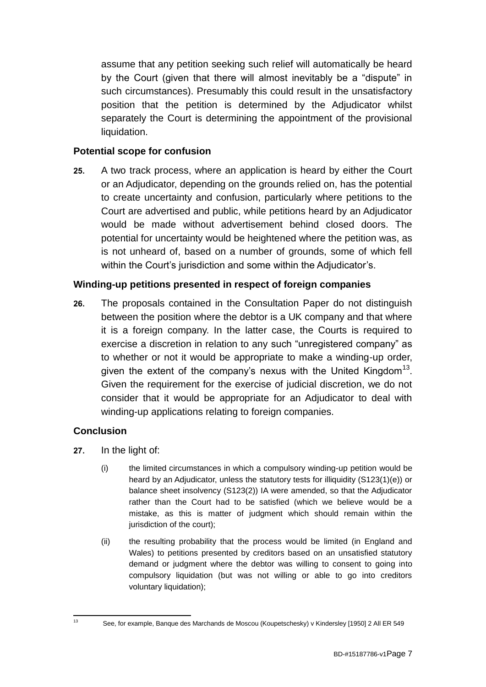assume that any petition seeking such relief will automatically be heard by the Court (given that there will almost inevitably be a "dispute" in such circumstances). Presumably this could result in the unsatisfactory position that the petition is determined by the Adjudicator whilst separately the Court is determining the appointment of the provisional liquidation.

## **Potential scope for confusion**

**25.** A two track process, where an application is heard by either the Court or an Adjudicator, depending on the grounds relied on, has the potential to create uncertainty and confusion, particularly where petitions to the Court are advertised and public, while petitions heard by an Adjudicator would be made without advertisement behind closed doors. The potential for uncertainty would be heightened where the petition was, as is not unheard of, based on a number of grounds, some of which fell within the Court's jurisdiction and some within the Adjudicator's.

## **Winding-up petitions presented in respect of foreign companies**

**26.** The proposals contained in the Consultation Paper do not distinguish between the position where the debtor is a UK company and that where it is a foreign company. In the latter case, the Courts is required to exercise a discretion in relation to any such "unregistered company" as to whether or not it would be appropriate to make a winding-up order, given the extent of the company's nexus with the United Kingdom<sup>13</sup>. Given the requirement for the exercise of judicial discretion, we do not consider that it would be appropriate for an Adjudicator to deal with winding-up applications relating to foreign companies.

# **Conclusion**

- **27.** In the light of:
	- (i) the limited circumstances in which a compulsory winding-up petition would be heard by an Adjudicator, unless the statutory tests for illiquidity (S123(1)(e)) or balance sheet insolvency (S123(2)) IA were amended, so that the Adjudicator rather than the Court had to be satisfied (which we believe would be a mistake, as this is matter of judgment which should remain within the jurisdiction of the court);
	- (ii) the resulting probability that the process would be limited (in England and Wales) to petitions presented by creditors based on an unsatisfied statutory demand or judgment where the debtor was willing to consent to going into compulsory liquidation (but was not willing or able to go into creditors voluntary liquidation);

 $13<sup>13</sup>$ 

<sup>13</sup> See, for example, Banque des Marchands de Moscou (Koupetschesky) v Kindersley [1950] 2 All ER 549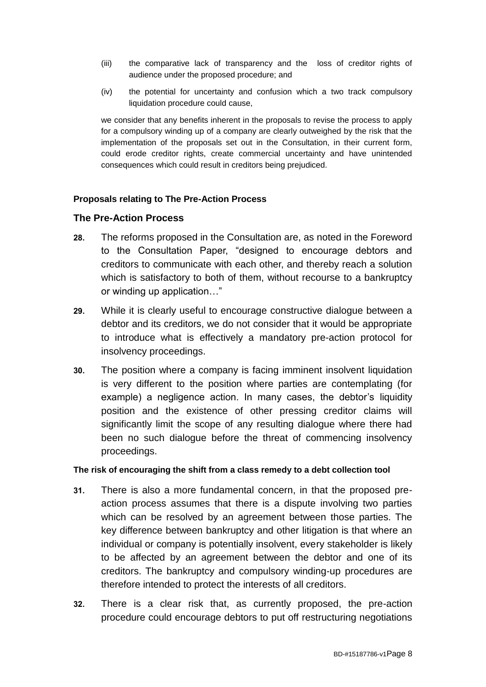- (iii) the comparative lack of transparency and the loss of creditor rights of audience under the proposed procedure; and
- (iv) the potential for uncertainty and confusion which a two track compulsory liquidation procedure could cause,

we consider that any benefits inherent in the proposals to revise the process to apply for a compulsory winding up of a company are clearly outweighed by the risk that the implementation of the proposals set out in the Consultation, in their current form, could erode creditor rights, create commercial uncertainty and have unintended consequences which could result in creditors being prejudiced.

#### **Proposals relating to The Pre-Action Process**

#### **The Pre-Action Process**

- **28.** The reforms proposed in the Consultation are, as noted in the Foreword to the Consultation Paper, "designed to encourage debtors and creditors to communicate with each other, and thereby reach a solution which is satisfactory to both of them, without recourse to a bankruptcy or winding up application…"
- **29.** While it is clearly useful to encourage constructive dialogue between a debtor and its creditors, we do not consider that it would be appropriate to introduce what is effectively a mandatory pre-action protocol for insolvency proceedings.
- **30.** The position where a company is facing imminent insolvent liquidation is very different to the position where parties are contemplating (for example) a negligence action. In many cases, the debtor's liquidity position and the existence of other pressing creditor claims will significantly limit the scope of any resulting dialogue where there had been no such dialogue before the threat of commencing insolvency proceedings.

#### **The risk of encouraging the shift from a class remedy to a debt collection tool**

- **31.** There is also a more fundamental concern, in that the proposed preaction process assumes that there is a dispute involving two parties which can be resolved by an agreement between those parties. The key difference between bankruptcy and other litigation is that where an individual or company is potentially insolvent, every stakeholder is likely to be affected by an agreement between the debtor and one of its creditors. The bankruptcy and compulsory winding-up procedures are therefore intended to protect the interests of all creditors.
- **32.** There is a clear risk that, as currently proposed, the pre-action procedure could encourage debtors to put off restructuring negotiations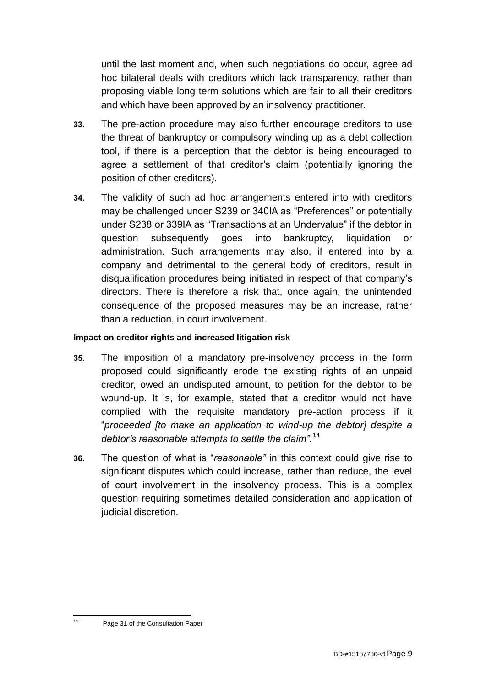until the last moment and, when such negotiations do occur, agree ad hoc bilateral deals with creditors which lack transparency, rather than proposing viable long term solutions which are fair to all their creditors and which have been approved by an insolvency practitioner.

- **33.** The pre-action procedure may also further encourage creditors to use the threat of bankruptcy or compulsory winding up as a debt collection tool, if there is a perception that the debtor is being encouraged to agree a settlement of that creditor's claim (potentially ignoring the position of other creditors).
- **34.** The validity of such ad hoc arrangements entered into with creditors may be challenged under S239 or 340IA as "Preferences" or potentially under S238 or 339IA as "Transactions at an Undervalue" if the debtor in question subsequently goes into bankruptcy, liquidation or administration. Such arrangements may also, if entered into by a company and detrimental to the general body of creditors, result in disqualification procedures being initiated in respect of that company's directors. There is therefore a risk that, once again, the unintended consequence of the proposed measures may be an increase, rather than a reduction, in court involvement.

## **Impact on creditor rights and increased litigation risk**

- **35.** The imposition of a mandatory pre-insolvency process in the form proposed could significantly erode the existing rights of an unpaid creditor, owed an undisputed amount, to petition for the debtor to be wound-up. It is, for example, stated that a creditor would not have complied with the requisite mandatory pre-action process if it "*proceeded [to make an application to wind-up the debtor] despite a debtor's reasonable attempts to settle the claim".*<sup>14</sup>
- **36.** The question of what is "*reasonable"* in this context could give rise to significant disputes which could increase, rather than reduce, the level of court involvement in the insolvency process. This is a complex question requiring sometimes detailed consideration and application of judicial discretion.

 $14$ 

Page 31 of the Consultation Paper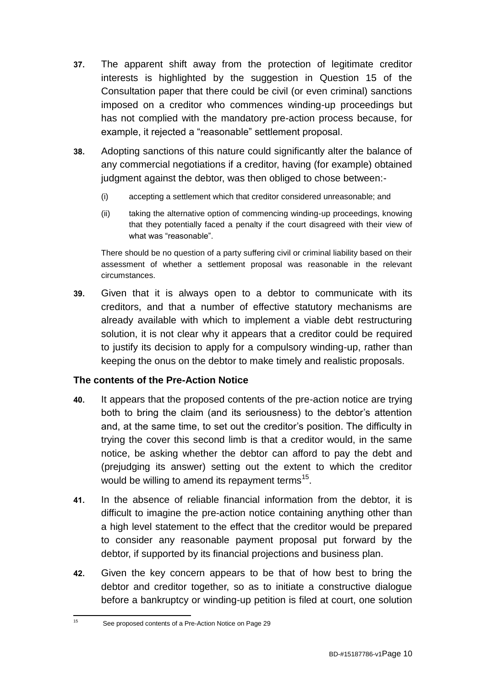- **37.** The apparent shift away from the protection of legitimate creditor interests is highlighted by the suggestion in Question 15 of the Consultation paper that there could be civil (or even criminal) sanctions imposed on a creditor who commences winding-up proceedings but has not complied with the mandatory pre-action process because, for example, it rejected a "reasonable" settlement proposal.
- **38.** Adopting sanctions of this nature could significantly alter the balance of any commercial negotiations if a creditor, having (for example) obtained judgment against the debtor, was then obliged to chose between:-
	- (i) accepting a settlement which that creditor considered unreasonable; and
	- (ii) taking the alternative option of commencing winding-up proceedings, knowing that they potentially faced a penalty if the court disagreed with their view of what was "reasonable".

There should be no question of a party suffering civil or criminal liability based on their assessment of whether a settlement proposal was reasonable in the relevant circumstances.

**39.** Given that it is always open to a debtor to communicate with its creditors, and that a number of effective statutory mechanisms are already available with which to implement a viable debt restructuring solution, it is not clear why it appears that a creditor could be required to justify its decision to apply for a compulsory winding-up, rather than keeping the onus on the debtor to make timely and realistic proposals.

# **The contents of the Pre-Action Notice**

- **40.** It appears that the proposed contents of the pre-action notice are trying both to bring the claim (and its seriousness) to the debtor's attention and, at the same time, to set out the creditor's position. The difficulty in trying the cover this second limb is that a creditor would, in the same notice, be asking whether the debtor can afford to pay the debt and (prejudging its answer) setting out the extent to which the creditor would be willing to amend its repayment terms<sup>15</sup>.
- **41.** In the absence of reliable financial information from the debtor, it is difficult to imagine the pre-action notice containing anything other than a high level statement to the effect that the creditor would be prepared to consider any reasonable payment proposal put forward by the debtor, if supported by its financial projections and business plan.
- **42.** Given the key concern appears to be that of how best to bring the debtor and creditor together, so as to initiate a constructive dialogue before a bankruptcy or winding-up petition is filed at court, one solution

 $15<sup>15</sup>$ <sup>15</sup> See proposed contents of a Pre-Action Notice on Page 29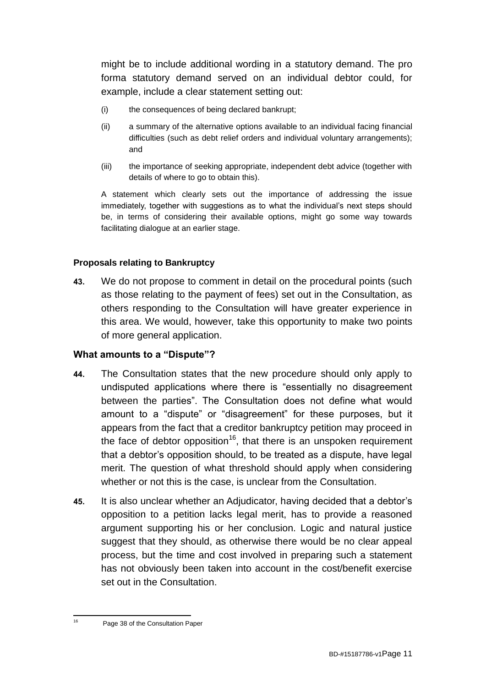might be to include additional wording in a statutory demand. The pro forma statutory demand served on an individual debtor could, for example, include a clear statement setting out:

- (i) the consequences of being declared bankrupt;
- (ii) a summary of the alternative options available to an individual facing financial difficulties (such as debt relief orders and individual voluntary arrangements); and
- (iii) the importance of seeking appropriate, independent debt advice (together with details of where to go to obtain this).

A statement which clearly sets out the importance of addressing the issue immediately, together with suggestions as to what the individual's next steps should be, in terms of considering their available options, might go some way towards facilitating dialogue at an earlier stage.

## **Proposals relating to Bankruptcy**

**43.** We do not propose to comment in detail on the procedural points (such as those relating to the payment of fees) set out in the Consultation, as others responding to the Consultation will have greater experience in this area. We would, however, take this opportunity to make two points of more general application.

## **What amounts to a "Dispute"?**

- **44.** The Consultation states that the new procedure should only apply to undisputed applications where there is "essentially no disagreement between the parties". The Consultation does not define what would amount to a "dispute" or "disagreement" for these purposes, but it appears from the fact that a creditor bankruptcy petition may proceed in the face of debtor opposition<sup>16</sup>, that there is an unspoken requirement that a debtor's opposition should, to be treated as a dispute, have legal merit. The question of what threshold should apply when considering whether or not this is the case, is unclear from the Consultation.
- **45.** It is also unclear whether an Adjudicator, having decided that a debtor's opposition to a petition lacks legal merit, has to provide a reasoned argument supporting his or her conclusion. Logic and natural justice suggest that they should, as otherwise there would be no clear appeal process, but the time and cost involved in preparing such a statement has not obviously been taken into account in the cost/benefit exercise set out in the Consultation.

 $16$ 

Page 38 of the Consultation Paper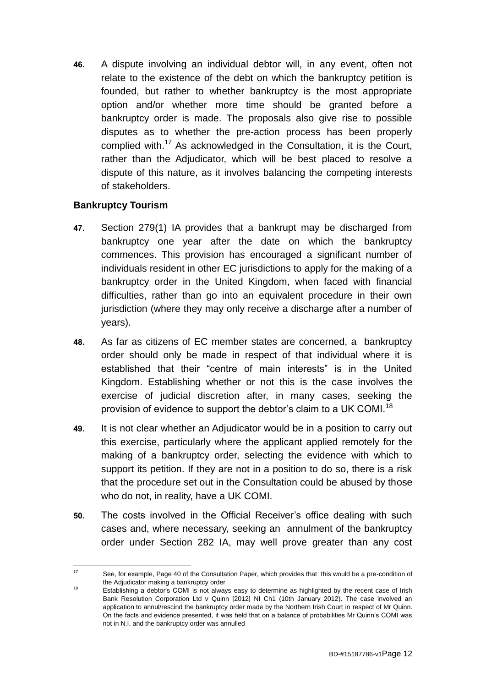**46.** A dispute involving an individual debtor will, in any event, often not relate to the existence of the debt on which the bankruptcy petition is founded, but rather to whether bankruptcy is the most appropriate option and/or whether more time should be granted before a bankruptcy order is made. The proposals also give rise to possible disputes as to whether the pre-action process has been properly complied with.<sup>17</sup> As acknowledged in the Consultation, it is the Court, rather than the Adjudicator, which will be best placed to resolve a dispute of this nature, as it involves balancing the competing interests of stakeholders.

# **Bankruptcy Tourism**

- **47.** Section 279(1) IA provides that a bankrupt may be discharged from bankruptcy one year after the date on which the bankruptcy commences. This provision has encouraged a significant number of individuals resident in other EC jurisdictions to apply for the making of a bankruptcy order in the United Kingdom, when faced with financial difficulties, rather than go into an equivalent procedure in their own jurisdiction (where they may only receive a discharge after a number of years).
- **48.** As far as citizens of EC member states are concerned, a bankruptcy order should only be made in respect of that individual where it is established that their "centre of main interests" is in the United Kingdom. Establishing whether or not this is the case involves the exercise of judicial discretion after, in many cases, seeking the provision of evidence to support the debtor's claim to a UK COMI.<sup>18</sup>
- **49.** It is not clear whether an Adjudicator would be in a position to carry out this exercise, particularly where the applicant applied remotely for the making of a bankruptcy order, selecting the evidence with which to support its petition. If they are not in a position to do so, there is a risk that the procedure set out in the Consultation could be abused by those who do not, in reality, have a UK COMI.
- **50.** The costs involved in the Official Receiver's office dealing with such cases and, where necessary, seeking an annulment of the bankruptcy order under Section 282 IA, may well prove greater than any cost

 $17$ See, for example, Page 40 of the Consultation Paper, which provides that this would be a pre-condition of the Adjudicator making a bankruptcy order

<sup>18</sup> Establishing a debtor's COMI is not always easy to determine as highlighted by the recent case of Irish Bank Resolution Corporation Ltd v Quinn [2012] NI Ch1 (10th January 2012). The case involved an application to annul/rescind the bankruptcy order made by the Northern Irish Court in respect of Mr Quinn. On the facts and evidence presented, it was held that on a balance of probabilities Mr Quinn's COMI was not in N.I. and the bankruptcy order was annulled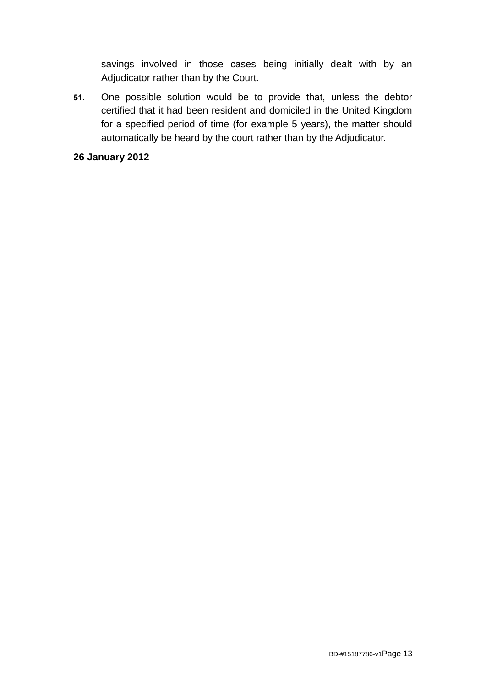savings involved in those cases being initially dealt with by an Adjudicator rather than by the Court.

**51.** One possible solution would be to provide that, unless the debtor certified that it had been resident and domiciled in the United Kingdom for a specified period of time (for example 5 years), the matter should automatically be heard by the court rather than by the Adjudicator.

## **26 January 2012**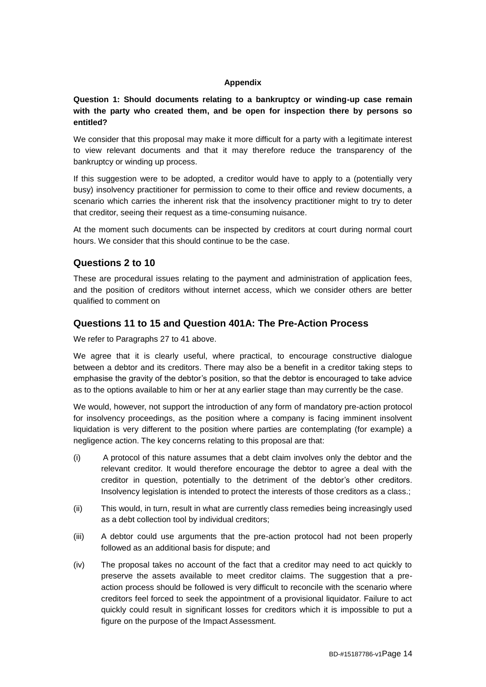#### **Appendix**

**Question 1: Should documents relating to a bankruptcy or winding-up case remain with the party who created them, and be open for inspection there by persons so entitled?**

We consider that this proposal may make it more difficult for a party with a legitimate interest to view relevant documents and that it may therefore reduce the transparency of the bankruptcy or winding up process.

If this suggestion were to be adopted, a creditor would have to apply to a (potentially very busy) insolvency practitioner for permission to come to their office and review documents, a scenario which carries the inherent risk that the insolvency practitioner might to try to deter that creditor, seeing their request as a time-consuming nuisance.

At the moment such documents can be inspected by creditors at court during normal court hours. We consider that this should continue to be the case.

#### **Questions 2 to 10**

These are procedural issues relating to the payment and administration of application fees, and the position of creditors without internet access, which we consider others are better qualified to comment on

#### **Questions 11 to 15 and Question 401A: The Pre-Action Process**

We refer to Paragraphs 27 to 41 above.

We agree that it is clearly useful, where practical, to encourage constructive dialogue between a debtor and its creditors. There may also be a benefit in a creditor taking steps to emphasise the gravity of the debtor's position, so that the debtor is encouraged to take advice as to the options available to him or her at any earlier stage than may currently be the case.

We would, however, not support the introduction of any form of mandatory pre-action protocol for insolvency proceedings, as the position where a company is facing imminent insolvent liquidation is very different to the position where parties are contemplating (for example) a negligence action. The key concerns relating to this proposal are that:

- (i) A protocol of this nature assumes that a debt claim involves only the debtor and the relevant creditor. It would therefore encourage the debtor to agree a deal with the creditor in question, potentially to the detriment of the debtor's other creditors. Insolvency legislation is intended to protect the interests of those creditors as a class.;
- (ii) This would, in turn, result in what are currently class remedies being increasingly used as a debt collection tool by individual creditors;
- (iii) A debtor could use arguments that the pre-action protocol had not been properly followed as an additional basis for dispute; and
- (iv) The proposal takes no account of the fact that a creditor may need to act quickly to preserve the assets available to meet creditor claims. The suggestion that a preaction process should be followed is very difficult to reconcile with the scenario where creditors feel forced to seek the appointment of a provisional liquidator. Failure to act quickly could result in significant losses for creditors which it is impossible to put a figure on the purpose of the Impact Assessment.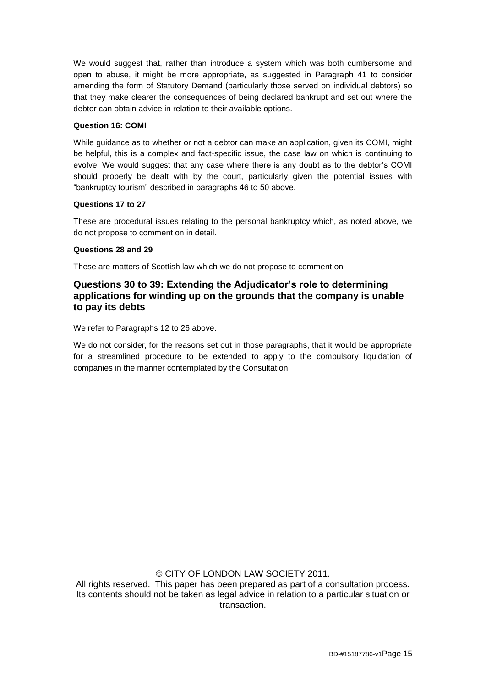We would suggest that, rather than introduce a system which was both cumbersome and open to abuse, it might be more appropriate, as suggested in Paragraph 41 to consider amending the form of Statutory Demand (particularly those served on individual debtors) so that they make clearer the consequences of being declared bankrupt and set out where the debtor can obtain advice in relation to their available options.

#### **Question 16: COMI**

While guidance as to whether or not a debtor can make an application, given its COMI, might be helpful, this is a complex and fact-specific issue, the case law on which is continuing to evolve. We would suggest that any case where there is any doubt as to the debtor's COMI should properly be dealt with by the court, particularly given the potential issues with "bankruptcy tourism" described in paragraphs 46 to 50 above.

#### **Questions 17 to 27**

These are procedural issues relating to the personal bankruptcy which, as noted above, we do not propose to comment on in detail.

#### **Questions 28 and 29**

These are matters of Scottish law which we do not propose to comment on

#### **Questions 30 to 39: Extending the Adjudicator's role to determining applications for winding up on the grounds that the company is unable to pay its debts**

We refer to Paragraphs 12 to 26 above.

We do not consider, for the reasons set out in those paragraphs, that it would be appropriate for a streamlined procedure to be extended to apply to the compulsory liquidation of companies in the manner contemplated by the Consultation.

#### © CITY OF LONDON LAW SOCIETY 2011.

All rights reserved. This paper has been prepared as part of a consultation process. Its contents should not be taken as legal advice in relation to a particular situation or transaction.